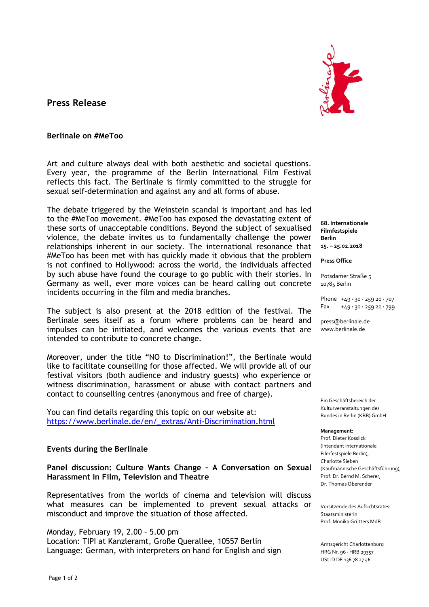# **Press Release**



### **Berlinale on #MeToo**

Art and culture always deal with both aesthetic and societal questions. Every year, the programme of the Berlin International Film Festival reflects this fact. The Berlinale is firmly committed to the struggle for sexual self-determination and against any and all forms of abuse.

The debate triggered by the Weinstein scandal is important and has led to the #MeToo movement. #MeToo has exposed the devastating extent of these sorts of unacceptable conditions. Beyond the subject of sexualised violence, the debate invites us to fundamentally challenge the power relationships inherent in our society. The international resonance that #MeToo has been met with has quickly made it obvious that the problem is not confined to Hollywood: across the world, the individuals affected by such abuse have found the courage to go public with their stories. In Germany as well, ever more voices can be heard calling out concrete incidents occurring in the film and media branches.

The subject is also present at the 2018 edition of the festival. The Berlinale sees itself as a forum where problems can be heard and impulses can be initiated, and welcomes the various events that are intended to contribute to concrete change.

Moreover, under the title "NO to Discrimination!", the Berlinale would like to facilitate counselling for those affected. We will provide all of our festival visitors (both audience and industry guests) who experience or witness discrimination, harassment or abuse with contact partners and contact to counselling centres (anonymous and free of charge).

You can find details regarding this topic on our website at: [https://www.berlinale.de/en/\\_extras/Anti-Discrimination.html](https://www.berlinale.de/en/_extras/Anti-Discrimination.html)

## **Events during the Berlinale**

**Panel discussion: Culture Wants Change – A Conversation on Sexual Harassment in Film, Television and Theatre**

Representatives from the worlds of cinema and television will discuss what measures can be implemented to prevent sexual attacks or misconduct and improve the situation of those affected.

Monday, February 19, 2.00 – 5.00 pm Location: TIPI at Kanzleramt, Große Querallee, 10557 Berlin Language: German, with interpreters on hand for English and sign

**68. Internationale Filmfestspiele Berlin 15. – 25.02.2018**

**Press Office**

Potsdamer Straße 5 10785 Berlin

Phone +49 **·** 30 **·** 259 20 **·** 707 Fax +49 **·** 30 **·** 259 20 **·** 799

press@berlinale.de www.berlinale.de

Ein Geschäftsbereich der Kulturveranstaltungen des Bundes in Berlin (KBB) GmbH

**Management:**

Prof. Dieter Kosslick (Intendant Internationale Filmfestspiele Berlin), Charlotte Sieben (Kaufmännische Geschäftsführung), Prof. Dr. Bernd M. Scherer, Dr. Thomas Oberender

Vorsitzende des Aufsichtsrates: Staatsministerin Prof. Monika Grütters MdB

Amtsgericht Charlottenburg HRG Nr. 96 · HRB 29357 USt ID DE 136 78 27 46